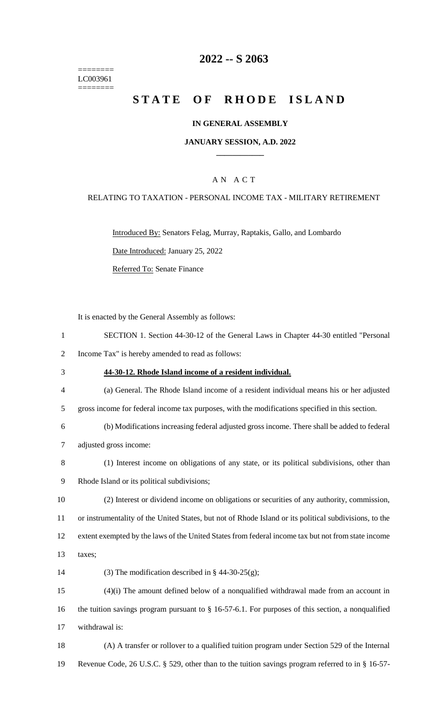======== LC003961 ========

# **2022 -- S 2063**

# **STATE OF RHODE ISLAND**

### **IN GENERAL ASSEMBLY**

### **JANUARY SESSION, A.D. 2022 \_\_\_\_\_\_\_\_\_\_\_\_**

### A N A C T

### RELATING TO TAXATION - PERSONAL INCOME TAX - MILITARY RETIREMENT

Introduced By: Senators Felag, Murray, Raptakis, Gallo, and Lombardo Date Introduced: January 25, 2022

Referred To: Senate Finance

It is enacted by the General Assembly as follows:

1 SECTION 1. Section 44-30-12 of the General Laws in Chapter 44-30 entitled "Personal 2 Income Tax" is hereby amended to read as follows: 3 **44-30-12. Rhode Island income of a resident individual.**

4 (a) General. The Rhode Island income of a resident individual means his or her adjusted 5 gross income for federal income tax purposes, with the modifications specified in this section.

6 (b) Modifications increasing federal adjusted gross income. There shall be added to federal 7 adjusted gross income:

- 8 (1) Interest income on obligations of any state, or its political subdivisions, other than 9 Rhode Island or its political subdivisions;
- 10 (2) Interest or dividend income on obligations or securities of any authority, commission, 11 or instrumentality of the United States, but not of Rhode Island or its political subdivisions, to the 12 extent exempted by the laws of the United States from federal income tax but not from state income
- 13 taxes;
- 14 (3) The modification described in  $\S$  44-30-25(g);

15 (4)(i) The amount defined below of a nonqualified withdrawal made from an account in 16 the tuition savings program pursuant to § 16-57-6.1. For purposes of this section, a nonqualified 17 withdrawal is:

18 (A) A transfer or rollover to a qualified tuition program under Section 529 of the Internal 19 Revenue Code, 26 U.S.C. § 529, other than to the tuition savings program referred to in § 16-57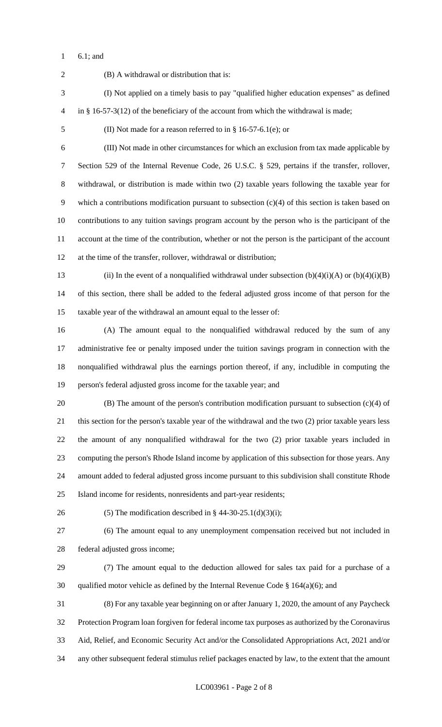6.1; and

 (B) A withdrawal or distribution that is: (I) Not applied on a timely basis to pay "qualified higher education expenses" as defined in § 16-57-3(12) of the beneficiary of the account from which the withdrawal is made; (II) Not made for a reason referred to in § 16-57-6.1(e); or (III) Not made in other circumstances for which an exclusion from tax made applicable by Section 529 of the Internal Revenue Code, 26 U.S.C. § 529, pertains if the transfer, rollover, withdrawal, or distribution is made within two (2) taxable years following the taxable year for which a contributions modification pursuant to subsection (c)(4) of this section is taken based on contributions to any tuition savings program account by the person who is the participant of the account at the time of the contribution, whether or not the person is the participant of the account at the time of the transfer, rollover, withdrawal or distribution; 13 (ii) In the event of a nonqualified withdrawal under subsection  $(b)(4)(i)(A)$  or  $(b)(4)(i)(B)$  of this section, there shall be added to the federal adjusted gross income of that person for the taxable year of the withdrawal an amount equal to the lesser of: (A) The amount equal to the nonqualified withdrawal reduced by the sum of any administrative fee or penalty imposed under the tuition savings program in connection with the nonqualified withdrawal plus the earnings portion thereof, if any, includible in computing the person's federal adjusted gross income for the taxable year; and (B) The amount of the person's contribution modification pursuant to subsection (c)(4) of this section for the person's taxable year of the withdrawal and the two (2) prior taxable years less the amount of any nonqualified withdrawal for the two (2) prior taxable years included in computing the person's Rhode Island income by application of this subsection for those years. Any amount added to federal adjusted gross income pursuant to this subdivision shall constitute Rhode Island income for residents, nonresidents and part-year residents; 26 (5) The modification described in  $\S$  44-30-25.1(d)(3)(i); (6) The amount equal to any unemployment compensation received but not included in federal adjusted gross income; (7) The amount equal to the deduction allowed for sales tax paid for a purchase of a 30 qualified motor vehicle as defined by the Internal Revenue Code  $\S$  164(a)(6); and (8) For any taxable year beginning on or after January 1, 2020, the amount of any Paycheck Protection Program loan forgiven for federal income tax purposes as authorized by the Coronavirus Aid, Relief, and Economic Security Act and/or the Consolidated Appropriations Act, 2021 and/or any other subsequent federal stimulus relief packages enacted by law, to the extent that the amount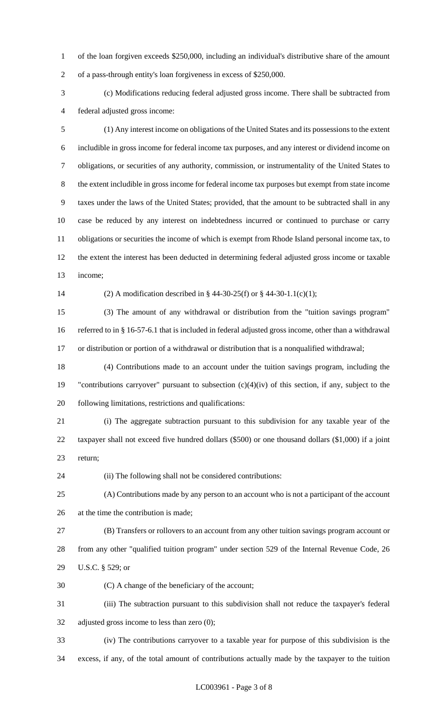of the loan forgiven exceeds \$250,000, including an individual's distributive share of the amount of a pass-through entity's loan forgiveness in excess of \$250,000.

 (c) Modifications reducing federal adjusted gross income. There shall be subtracted from federal adjusted gross income:

 (1) Any interest income on obligations of the United States and its possessions to the extent includible in gross income for federal income tax purposes, and any interest or dividend income on obligations, or securities of any authority, commission, or instrumentality of the United States to the extent includible in gross income for federal income tax purposes but exempt from state income taxes under the laws of the United States; provided, that the amount to be subtracted shall in any case be reduced by any interest on indebtedness incurred or continued to purchase or carry obligations or securities the income of which is exempt from Rhode Island personal income tax, to the extent the interest has been deducted in determining federal adjusted gross income or taxable income;

(2) A modification described in § 44-30-25(f) or § 44-30-1.1(c)(1);

 (3) The amount of any withdrawal or distribution from the "tuition savings program" referred to in § 16-57-6.1 that is included in federal adjusted gross income, other than a withdrawal or distribution or portion of a withdrawal or distribution that is a nonqualified withdrawal;

 (4) Contributions made to an account under the tuition savings program, including the "contributions carryover" pursuant to subsection (c)(4)(iv) of this section, if any, subject to the following limitations, restrictions and qualifications:

 (i) The aggregate subtraction pursuant to this subdivision for any taxable year of the taxpayer shall not exceed five hundred dollars (\$500) or one thousand dollars (\$1,000) if a joint return;

(ii) The following shall not be considered contributions:

 (A) Contributions made by any person to an account who is not a participant of the account at the time the contribution is made;

 (B) Transfers or rollovers to an account from any other tuition savings program account or from any other "qualified tuition program" under section 529 of the Internal Revenue Code, 26 U.S.C. § 529; or

(C) A change of the beneficiary of the account;

 (iii) The subtraction pursuant to this subdivision shall not reduce the taxpayer's federal adjusted gross income to less than zero (0);

 (iv) The contributions carryover to a taxable year for purpose of this subdivision is the excess, if any, of the total amount of contributions actually made by the taxpayer to the tuition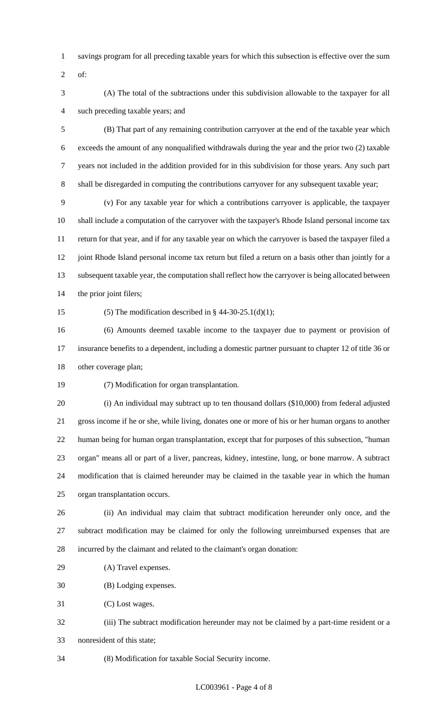- savings program for all preceding taxable years for which this subsection is effective over the sum
- of:
- (A) The total of the subtractions under this subdivision allowable to the taxpayer for all such preceding taxable years; and

 (B) That part of any remaining contribution carryover at the end of the taxable year which exceeds the amount of any nonqualified withdrawals during the year and the prior two (2) taxable years not included in the addition provided for in this subdivision for those years. Any such part shall be disregarded in computing the contributions carryover for any subsequent taxable year;

 (v) For any taxable year for which a contributions carryover is applicable, the taxpayer shall include a computation of the carryover with the taxpayer's Rhode Island personal income tax return for that year, and if for any taxable year on which the carryover is based the taxpayer filed a 12 joint Rhode Island personal income tax return but filed a return on a basis other than jointly for a subsequent taxable year, the computation shall reflect how the carryover is being allocated between the prior joint filers;

15 (5) The modification described in  $\S$  44-30-25.1(d)(1);

 (6) Amounts deemed taxable income to the taxpayer due to payment or provision of insurance benefits to a dependent, including a domestic partner pursuant to chapter 12 of title 36 or other coverage plan;

(7) Modification for organ transplantation.

 (i) An individual may subtract up to ten thousand dollars (\$10,000) from federal adjusted gross income if he or she, while living, donates one or more of his or her human organs to another human being for human organ transplantation, except that for purposes of this subsection, "human organ" means all or part of a liver, pancreas, kidney, intestine, lung, or bone marrow. A subtract modification that is claimed hereunder may be claimed in the taxable year in which the human organ transplantation occurs.

 (ii) An individual may claim that subtract modification hereunder only once, and the subtract modification may be claimed for only the following unreimbursed expenses that are incurred by the claimant and related to the claimant's organ donation:

(A) Travel expenses.

(B) Lodging expenses.

(C) Lost wages.

 (iii) The subtract modification hereunder may not be claimed by a part-time resident or a nonresident of this state;

(8) Modification for taxable Social Security income.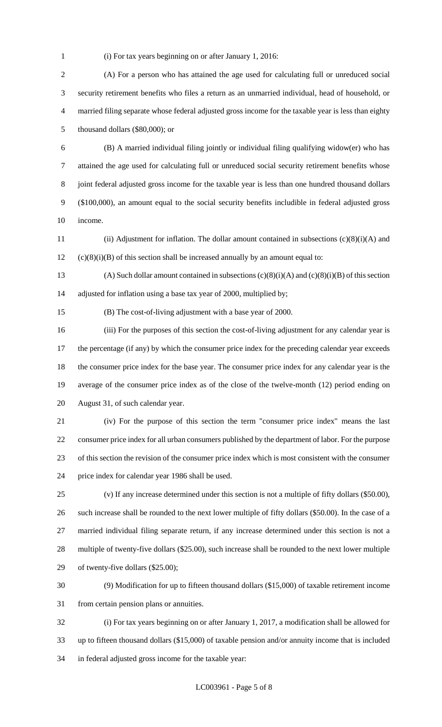(i) For tax years beginning on or after January 1, 2016:

 (A) For a person who has attained the age used for calculating full or unreduced social security retirement benefits who files a return as an unmarried individual, head of household, or married filing separate whose federal adjusted gross income for the taxable year is less than eighty thousand dollars (\$80,000); or

 (B) A married individual filing jointly or individual filing qualifying widow(er) who has attained the age used for calculating full or unreduced social security retirement benefits whose joint federal adjusted gross income for the taxable year is less than one hundred thousand dollars (\$100,000), an amount equal to the social security benefits includible in federal adjusted gross income.

 (ii) Adjustment for inflation. The dollar amount contained in subsections (c)(8)(i)(A) and (c)(8)(i)(B) of this section shall be increased annually by an amount equal to:

13 (A) Such dollar amount contained in subsections  $(c)(8)(i)(A)$  and  $(c)(8)(i)(B)$  of this section adjusted for inflation using a base tax year of 2000, multiplied by;

(B) The cost-of-living adjustment with a base year of 2000.

 (iii) For the purposes of this section the cost-of-living adjustment for any calendar year is 17 the percentage (if any) by which the consumer price index for the preceding calendar year exceeds the consumer price index for the base year. The consumer price index for any calendar year is the average of the consumer price index as of the close of the twelve-month (12) period ending on August 31, of such calendar year.

 (iv) For the purpose of this section the term "consumer price index" means the last consumer price index for all urban consumers published by the department of labor. For the purpose of this section the revision of the consumer price index which is most consistent with the consumer price index for calendar year 1986 shall be used.

 (v) If any increase determined under this section is not a multiple of fifty dollars (\$50.00), such increase shall be rounded to the next lower multiple of fifty dollars (\$50.00). In the case of a married individual filing separate return, if any increase determined under this section is not a multiple of twenty-five dollars (\$25.00), such increase shall be rounded to the next lower multiple of twenty-five dollars (\$25.00);

 (9) Modification for up to fifteen thousand dollars (\$15,000) of taxable retirement income from certain pension plans or annuities.

 (i) For tax years beginning on or after January 1, 2017, a modification shall be allowed for up to fifteen thousand dollars (\$15,000) of taxable pension and/or annuity income that is included in federal adjusted gross income for the taxable year: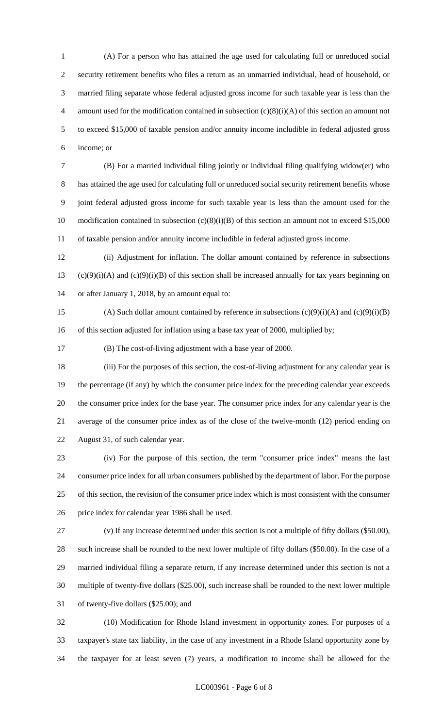(A) For a person who has attained the age used for calculating full or unreduced social security retirement benefits who files a return as an unmarried individual, head of household, or married filing separate whose federal adjusted gross income for such taxable year is less than the 4 amount used for the modification contained in subsection  $(c)(8)(i)(A)$  of this section an amount not to exceed \$15,000 of taxable pension and/or annuity income includible in federal adjusted gross income; or

 (B) For a married individual filing jointly or individual filing qualifying widow(er) who has attained the age used for calculating full or unreduced social security retirement benefits whose joint federal adjusted gross income for such taxable year is less than the amount used for the 10 modification contained in subsection (c)(8)(i)(B) of this section an amount not to exceed \$15,000 of taxable pension and/or annuity income includible in federal adjusted gross income.

 (ii) Adjustment for inflation. The dollar amount contained by reference in subsections 13 (c)(9)(i)(A) and (c)(9)(i)(B) of this section shall be increased annually for tax years beginning on or after January 1, 2018, by an amount equal to:

15 (A) Such dollar amount contained by reference in subsections  $(c)(9)(i)(A)$  and  $(c)(9)(i)(B)$ 16 of this section adjusted for inflation using a base tax year of 2000, multiplied by;

(B) The cost-of-living adjustment with a base year of 2000.

 (iii) For the purposes of this section, the cost-of-living adjustment for any calendar year is the percentage (if any) by which the consumer price index for the preceding calendar year exceeds the consumer price index for the base year. The consumer price index for any calendar year is the average of the consumer price index as of the close of the twelve-month (12) period ending on August 31, of such calendar year.

 (iv) For the purpose of this section, the term "consumer price index" means the last consumer price index for all urban consumers published by the department of labor. For the purpose of this section, the revision of the consumer price index which is most consistent with the consumer price index for calendar year 1986 shall be used.

 (v) If any increase determined under this section is not a multiple of fifty dollars (\$50.00), such increase shall be rounded to the next lower multiple of fifty dollars (\$50.00). In the case of a married individual filing a separate return, if any increase determined under this section is not a multiple of twenty-five dollars (\$25.00), such increase shall be rounded to the next lower multiple of twenty-five dollars (\$25.00); and

 (10) Modification for Rhode Island investment in opportunity zones. For purposes of a taxpayer's state tax liability, in the case of any investment in a Rhode Island opportunity zone by the taxpayer for at least seven (7) years, a modification to income shall be allowed for the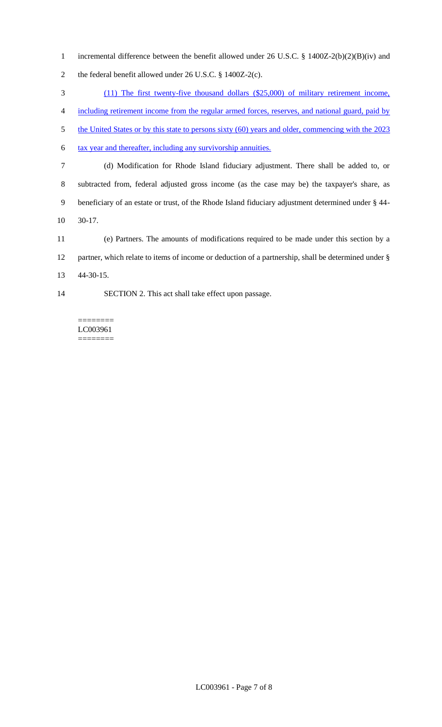incremental difference between the benefit allowed under 26 U.S.C. § 1400Z-2(b)(2)(B)(iv) and the federal benefit allowed under 26 U.S.C. § 1400Z-2(c).

(11) The first twenty-five thousand dollars (\$25,000) of military retirement income,

including retirement income from the regular armed forces, reserves, and national guard, paid by

5 the United States or by this state to persons sixty (60) years and older, commencing with the 2023

6 tax year and thereafter, including any survivorship annuities.

- (d) Modification for Rhode Island fiduciary adjustment. There shall be added to, or subtracted from, federal adjusted gross income (as the case may be) the taxpayer's share, as beneficiary of an estate or trust, of the Rhode Island fiduciary adjustment determined under § 44- 30-17.
- (e) Partners. The amounts of modifications required to be made under this section by a partner, which relate to items of income or deduction of a partnership, shall be determined under § 44-30-15.
- SECTION 2. This act shall take effect upon passage.

======== LC003961 ========